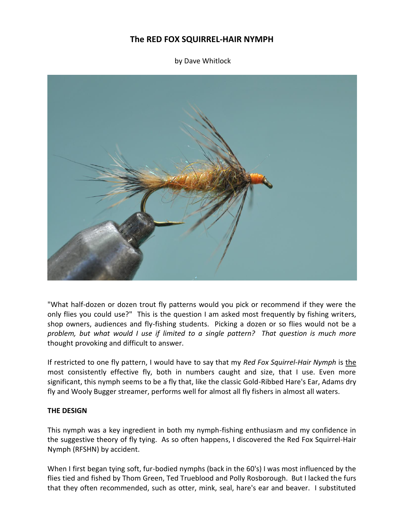# **The RED FOX SQUIRREL-HAIR NYMPH**

by Dave Whitlock



"What half-dozen or dozen trout fly patterns would you pick or recommend if they were the only flies you could use?" This is the question I am asked most frequently by fishing writers, shop owners, audiences and fly-fishing students. Picking a dozen or so flies would not be a *problem, but what would I use if limited to a single pattern? That question is much more* thought provoking and difficult to answer.

If restricted to one fly pattern, I would have to say that my *Red Fox Squirrel-Hair Nymph* is the most consistently effective fly, both in numbers caught and size, that I use. Even more significant, this nymph seems to be a fly that, like the classic Gold-Ribbed Hare's Ear, Adams dry fly and Wooly Bugger streamer, performs well for almost all fly fishers in almost all waters.

#### **THE DESIGN**

This nymph was a key ingredient in both my nymph-fishing enthusiasm and my confidence in the suggestive theory of fly tying. As so often happens, I discovered the Red Fox Squirrel-Hair Nymph (RFSHN) by accident.

When I first began tying soft, fur-bodied nymphs (back in the 60's) I was most influenced by the flies tied and fished by Thom Green, Ted Trueblood and Polly Rosborough. But I lacked the furs that they often recommended, such as otter, mink, seal, hare's ear and beaver. I substituted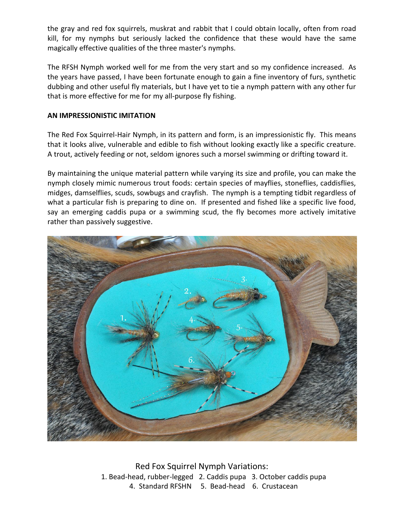the gray and red fox squirrels, muskrat and rabbit that I could obtain locally, often from road kill, for my nymphs but seriously lacked the confidence that these would have the same magically effective qualities of the three master's nymphs.

The RFSH Nymph worked well for me from the very start and so my confidence increased. As the years have passed, I have been fortunate enough to gain a fine inventory of furs, synthetic dubbing and other useful fly materials, but I have yet to tie a nymph pattern with any other fur that is more effective for me for my all-purpose fly fishing.

## **AN IMPRESSIONISTIC IMITATION**

The Red Fox Squirrel-Hair Nymph, in its pattern and form, is an impressionistic fly. This means that it looks alive, vulnerable and edible to fish without looking exactly like a specific creature. A trout, actively feeding or not, seldom ignores such a morsel swimming or drifting toward it.

By maintaining the unique material pattern while varying its size and profile, you can make the nymph closely mimic numerous trout foods: certain species of mayflies, stoneflies, caddisflies, midges, damselflies, scuds, sowbugs and crayfish. The nymph is a tempting tidbit regardless of what a particular fish is preparing to dine on. If presented and fished like a specific live food, say an emerging caddis pupa or a swimming scud, the fly becomes more actively imitative rather than passively suggestive.



Red Fox Squirrel Nymph Variations: 1. Bead-head, rubber-legged 2. Caddis pupa 3. October caddis pupa 4. Standard RFSHN 5. Bead-head 6. Crustacean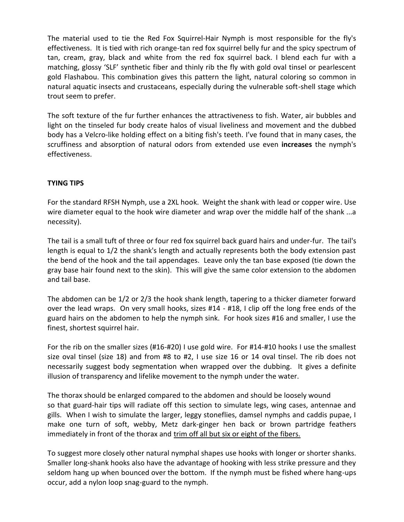The material used to tie the Red Fox Squirrel-Hair Nymph is most responsible for the fly's effectiveness. It is tied with rich orange-tan red fox squirrel belly fur and the spicy spectrum of tan, cream, gray, black and white from the red fox squirrel back. I blend each fur with a matching, glossy 'SLF' synthetic fiber and thinly rib the fly with gold oval tinsel or pearlescent gold Flashabou. This combination gives this pattern the light, natural coloring so common in natural aquatic insects and crustaceans, especially during the vulnerable soft-shell stage which trout seem to prefer.

The soft texture of the fur further enhances the attractiveness to fish. Water, air bubbles and light on the tinseled fur body create halos of visual liveliness and movement and the dubbed body has a Velcro-like holding effect on a biting fish's teeth. I've found that in many cases, the scruffiness and absorption of natural odors from extended use even **increases** the nymph's effectiveness.

## **TYING TIPS**

For the standard RFSH Nymph, use a 2XL hook. Weight the shank with lead or copper wire. Use wire diameter equal to the hook wire diameter and wrap over the middle half of the shank ...a necessity).

The tail is a small tuft of three or four red fox squirrel back guard hairs and under-fur. The tail's length is equal to 1/2 the shank's length and actually represents both the body extension past the bend of the hook and the tail appendages. Leave only the tan base exposed (tie down the gray base hair found next to the skin). This will give the same color extension to the abdomen and tail base.

The abdomen can be 1/2 or 2/3 the hook shank length, tapering to a thicker diameter forward over the lead wraps. On very small hooks, sizes #14 - #18, I clip off the long free ends of the guard hairs on the abdomen to help the nymph sink. For hook sizes #16 and smaller, I use the finest, shortest squirrel hair.

For the rib on the smaller sizes (#16-#20) I use gold wire. For #14-#10 hooks I use the smallest size oval tinsel (size 18) and from #8 to #2, I use size 16 or 14 oval tinsel. The rib does not necessarily suggest body segmentation when wrapped over the dubbing. It gives a definite illusion of transparency and lifelike movement to the nymph under the water.

The thorax should be enlarged compared to the abdomen and should be loosely wound so that guard-hair tips will radiate off this section to simulate legs, wing cases, antennae and gills. When I wish to simulate the larger, leggy stoneflies, damsel nymphs and caddis pupae, I make one turn of soft, webby, Metz dark-ginger hen back or brown partridge feathers immediately in front of the thorax and trim off all but six or eight of the fibers.

To suggest more closely other natural nymphal shapes use hooks with longer or shorter shanks. Smaller long-shank hooks also have the advantage of hooking with less strike pressure and they seldom hang up when bounced over the bottom. If the nymph must be fished where hang-ups occur, add a nylon loop snag-guard to the nymph.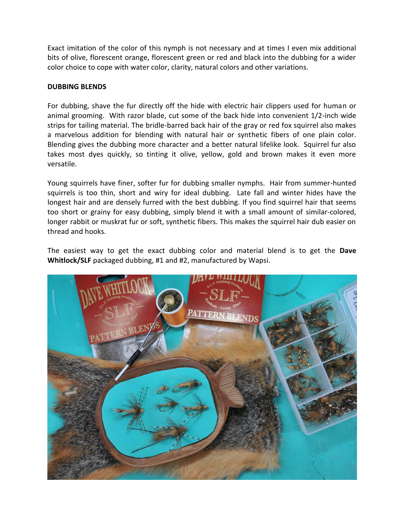Exact imitation of the color of this nymph is not necessary and at times I even mix additional bits of olive, florescent orange, florescent green or red and black into the dubbing for a wider color choice to cope with water color, clarity, natural colors and other variations.

### **DUBBING BLENDS**

For dubbing, shave the fur directly off the hide with electric hair clippers used for human or animal grooming. With razor blade, cut some of the back hide into convenient 1/2-inch wide strips for tailing material. The bridle-barred back hair of the gray or red fox squirrel also makes a marvelous addition for blending with natural hair or synthetic fibers of one plain color. Blending gives the dubbing more character and a better natural lifelike look. Squirrel fur also takes most dyes quickly, so tinting it olive, yellow, gold and brown makes it even more versatile.

Young squirrels have finer, softer fur for dubbing smaller nymphs. Hair from summer-hunted squirrels is too thin, short and wiry for ideal dubbing. Late fall and winter hides have the longest hair and are densely furred with the best dubbing. If you find squirrel hair that seems too short or grainy for easy dubbing, simply blend it with a small amount of similar-colored, longer rabbit or muskrat fur or soft, synthetic fibers. This makes the squirrel hair dub easier on thread and hooks.

The easiest way to get the exact dubbing color and material blend is to get the **Dave Whitlock/SLF** packaged dubbing, #1 and #2, manufactured by Wapsi.

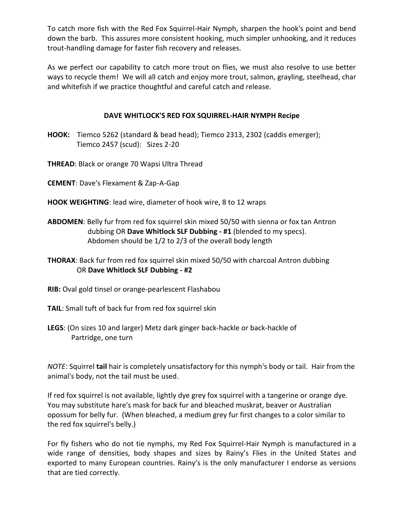To catch more fish with the Red Fox Squirrel-Hair Nymph, sharpen the hook's point and bend down the barb. This assures more consistent hooking, much simpler unhooking, and it reduces trout-handling damage for faster fish recovery and releases.

As we perfect our capability to catch more trout on flies, we must also resolve to use better ways to recycle them! We will all catch and enjoy more trout, salmon, grayling, steelhead, char and whitefish if we practice thoughtful and careful catch and release.

## **DAVE WHITLOCK'S RED FOX SQUIRREL-HAIR NYMPH Recipe**

- **HOOK:** Tiemco 5262 (standard & bead head); Tiemco 2313, 2302 (caddis emerger); Tiemco 2457 (scud): Sizes 2-20
- **THREAD**: Black or orange 70 Wapsi Ultra Thread
- **CEMENT**: Dave's Flexament & Zap-A-Gap
- **HOOK WEIGHTING**: lead wire, diameter of hook wire, 8 to 12 wraps
- **ABDOMEN**: Belly fur from red fox squirrel skin mixed 50/50 with sienna or fox tan Antron dubbing OR **Dave Whitlock SLF Dubbing - #1** (blended to my specs). Abdomen should be 1/2 to 2/3 of the overall body length
- **THORAX**: Back fur from red fox squirrel skin mixed 50/50 with charcoal Antron dubbing OR **Dave Whitlock SLF Dubbing - #2**
- **RIB:** Oval gold tinsel or orange-pearlescent Flashabou
- **TAIL**: Small tuft of back fur from red fox squirrel skin
- **LEGS**: (On sizes 10 and larger) Metz dark ginger back-hackle or back-hackle of Partridge, one turn

*NOTE*: Squirrel **tail** hair is completely unsatisfactory for this nymph's body or tail. Hair from the animal's body, not the tail must be used.

If red fox squirrel is not available, lightly dye grey fox squirrel with a tangerine or orange dye. You may substitute hare's mask for back fur and bleached muskrat, beaver or Australian opossum for belly fur. (When bleached, a medium grey fur first changes to a color similar to the red fox squirrel's belly.)

For fly fishers who do not tie nymphs, my Red Fox Squirrel-Hair Nymph is manufactured in a wide range of densities, body shapes and sizes by Rainy's Flies in the United States and exported to many European countries. Rainy's is the only manufacturer I endorse as versions that are tied correctly.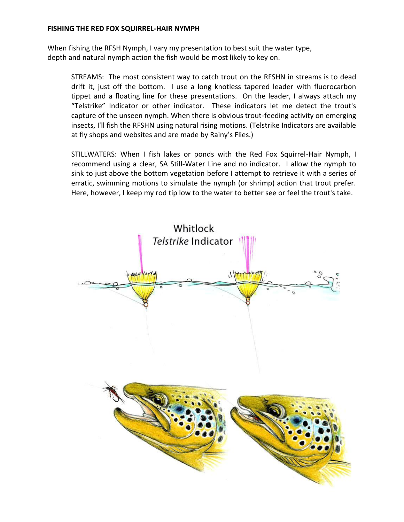### **FISHING THE RED FOX SQUIRREL-HAIR NYMPH**

When fishing the RFSH Nymph, I vary my presentation to best suit the water type, depth and natural nymph action the fish would be most likely to key on.

STREAMS: The most consistent way to catch trout on the RFSHN in streams is to dead drift it, just off the bottom. I use a long knotless tapered leader with fluorocarbon tippet and a floating line for these presentations. On the leader, I always attach my "Telstrike" Indicator or other indicator. These indicators let me detect the trout's capture of the unseen nymph. When there is obvious trout-feeding activity on emerging insects, I'll fish the RFSHN using natural rising motions. (Telstrike Indicators are available at fly shops and websites and are made by Rainy's Flies.)

STILLWATERS: When I fish lakes or ponds with the Red Fox Squirrel-Hair Nymph, I recommend using a clear, SA Still-Water Line and no indicator. I allow the nymph to sink to just above the bottom vegetation before I attempt to retrieve it with a series of erratic, swimming motions to simulate the nymph (or shrimp) action that trout prefer. Here, however, I keep my rod tip low to the water to better see or feel the trout's take.